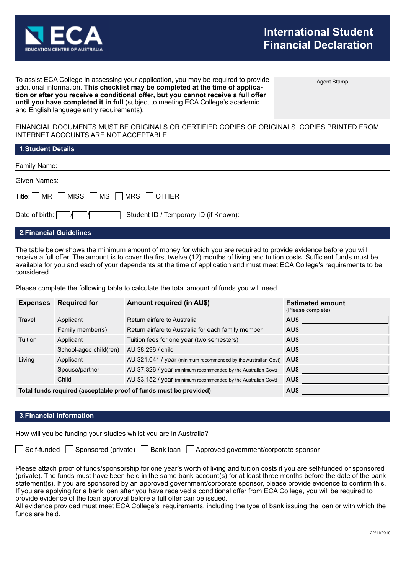

Agent Stamp

To assist ECA College in assessing your application, you may be required to provide additional information. **This checklist may be completed at the time of application or after you receive a conditional offer, but you cannot receive a full offer until you have completed it in full** (subject to meeting ECA College's academic and English language entry requirements).

FINANCIAL DOCUMENTS MUST BE ORIGINALS OR CERTIFIED COPIES OF ORIGINALS. COPIES PRINTED FROM INTERNET ACCOUNTS ARE NOT ACCEPTABLE.

| <b>1.Student Details</b>                                       |
|----------------------------------------------------------------|
| Family Name:                                                   |
| Given Names:                                                   |
| Title: $\Box$ MR $\Box$ MISS $\Box$ MS $\Box$ MRS $\Box$ OTHER |
| Student ID / Temporary ID (if Known):<br>Date of birth:        |
| ---                                                            |

## **2.Financial Guidelines**

The table below shows the minimum amount of money for which you are required to provide evidence before you will receive a full offer. The amount is to cover the first twelve (12) months of living and tuition costs. Sufficient funds must be available for you and each of your dependants at the time of application and must meet ECA College's requirements to be considered.

Please complete the following table to calculate the total amount of funds you will need.

| <b>Expenses</b> | <b>Required for</b>                                               | <b>Amount required (in AU\$)</b>                                | <b>Estimated amount</b><br>(Please complete) |
|-----------------|-------------------------------------------------------------------|-----------------------------------------------------------------|----------------------------------------------|
| Travel          | Applicant                                                         | Return airfare to Australia                                     | AU\$                                         |
|                 | Family member(s)                                                  | Return airfare to Australia for each family member              | AU\$                                         |
| Tuition         | Applicant                                                         | Tuition fees for one year (two semesters)                       | AU\$                                         |
|                 | School-aged child(ren)                                            | AU \$8,296 / child                                              | AU\$                                         |
| Living          | Applicant                                                         | AU \$21,041 / year (minimum recommended by the Australian Govt) | AU\$                                         |
|                 | Spouse/partner                                                    | AU \$7,326 / year (minimum recommended by the Australian Govt)  | AU\$                                         |
|                 | Child                                                             | AU \$3,152 / year (minimum recommended by the Australian Govt)  | AU\$                                         |
|                 | Total funds required (acceptable proof of funds must be provided) | AU\$                                                            |                                              |

#### **3.Financial Information**

How will you be funding your studies whilst you are in Australia?

Self-funded Sponsored (private) Bank loan Approved government/corporate sponsor

Please attach proof of funds/sponsorship for one year's worth of living and tuition costs if you are self-funded or sponsored (private). The funds must have been held in the same bank account(s) for at least three months before the date of the bank statement(s). If you are sponsored by an approved government/corporate sponsor, please provide evidence to confirm this. If you are applying for a bank loan after you have received a conditional offer from ECA College, you will be required to provide evidence of the loan approval before a full offer can be issued.

All evidence provided must meet ECA College's requirements, including the type of bank issuing the loan or with which the funds are held.